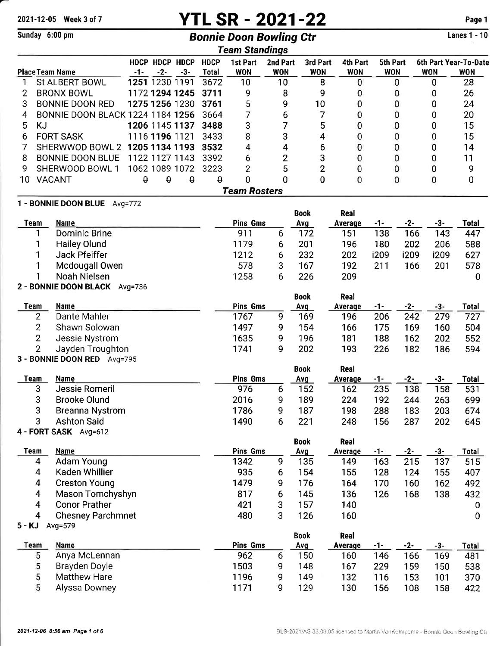2021-12-05 Week 3 of 7 **YTL SR - 2021-22** Page 1

Lanes 1 - 10

| Sunday 6:00 pm |                                             |          |                         |          |                             | <b>Bonnie Doon Bowling Ctr</b> |                        |                        |                               |                        |       |            | <b>Lanes 1 - 10</b>                 |
|----------------|---------------------------------------------|----------|-------------------------|----------|-----------------------------|--------------------------------|------------------------|------------------------|-------------------------------|------------------------|-------|------------|-------------------------------------|
|                |                                             |          |                         |          |                             | <b>Team Standings</b>          |                        |                        |                               |                        |       |            |                                     |
|                | <b>Place Team Name</b>                      | $-1-$    | HDCP HDCP HDCP<br>$-2-$ | $-3-$    | <b>HDCP</b><br><b>Total</b> | 1st Part<br><b>WON</b>         | 2nd Part<br><b>WON</b> | 3rd Part<br><b>WON</b> | 4th Part<br><b>WON</b>        | 5th Part<br><b>WON</b> |       | <b>WON</b> | 6th Part Year-To-Date<br><b>WON</b> |
| 1              | St ALBERT BOWL                              |          | 1251 1230 1191          |          | 3672                        | 10                             | 10                     |                        | 8<br>0                        |                        | 0     | 0          | 28                                  |
| 2              | <b>BRONX BOWL</b>                           |          | 1172 1294 1245          |          | 3711                        | 9                              | 8                      | 9                      | 0                             |                        | 0     | 0          | 26                                  |
| 3              | <b>BONNIE DOON RED</b>                      |          | 1275 1256 1230          |          | 3761                        | 5                              | 9                      | 10                     | 0                             |                        | 0     | 0          | 24                                  |
| 4              | <b>BONNIE DOON BLACK 1224 1184 1256</b>     |          |                         |          | 3664                        | 7                              | 6                      | 7                      | 0                             |                        | 0     | 0          | 20                                  |
| 5<br><b>KJ</b> |                                             |          | 1206 1145 1137          |          | 3488                        | 3                              | 7                      |                        | 5<br>0                        |                        | 0     | 0          | 15                                  |
| 6              | <b>FORT SASK</b>                            |          | 1116 1196 1121          |          | 3433                        | 8                              | 3                      |                        | 4<br>0                        |                        | 0     | 0          | 15                                  |
| 7              | SHERWWOD BOWL 2                             |          | 1205 1134 1193          |          | 3532                        | 4                              | 4                      | 6                      | 0                             |                        | 0     | 0          | 14                                  |
| 8              | <b>BONNIE DOON BLUE</b>                     |          | 1122 1127 1143          |          | 3392                        | 6                              | $\overline{2}$         | 3                      | 0                             |                        | 0     | 0          | 11                                  |
| 9              | SHERWOOD BOWL 1                             |          | 1062 1089 1072          |          | 3223                        | $\overline{2}$                 | 5                      |                        | $\overline{2}$<br>0           |                        | 0     | 0          | 9                                   |
| 10             | <b>VACANT</b>                               | $\theta$ | 0                       | $\theta$ | θ                           | 0                              | 0                      | 0                      | 0                             |                        | 0     | 0          | 0                                   |
|                |                                             |          |                         |          |                             | <b>Team Rosters</b>            |                        |                        |                               |                        |       |            |                                     |
|                | 1 - BONNIE DOON BLUE Avg=772                |          |                         |          |                             |                                |                        |                        |                               |                        |       |            |                                     |
|                |                                             |          |                         |          |                             |                                |                        | <b>Book</b>            | Real                          |                        |       |            |                                     |
| <b>Team</b>    | <b>Name</b>                                 |          |                         |          |                             | <b>Pins Gms</b>                |                        | Avg                    | <b>Average</b>                | $-1-$                  | $-2-$ | $-3-$      | <b>Total</b>                        |
| 1              | <b>Dominic Brine</b>                        |          |                         |          |                             | 911                            | 6                      | 172                    | 151                           | 138                    | 166   | 143        | 447                                 |
| 1              | <b>Hailey Olund</b>                         |          |                         |          |                             | 1179                           | 6                      | 201                    | 196                           | 180                    | 202   | 206        | 588                                 |
| 1              | Jack Pfeiffer                               |          |                         |          |                             | 1212                           | 6                      | 232                    | 202                           | i209                   | i209  | i209       | 627                                 |
|                | Mcdougall Owen                              |          |                         |          |                             | 578                            | 3                      | 167                    | 192                           | 211                    | 166   | 201        | 578                                 |
| 1              | Noah Nielsen                                |          |                         |          |                             | 1258                           | 6                      | 226                    | 209                           |                        |       |            | 0                                   |
|                | 2 - BONNIE DOON BLACK Avg=736               |          |                         |          |                             |                                |                        | <b>Book</b>            | Real                          |                        |       |            |                                     |
| Team           | Name                                        |          |                         |          |                             | <b>Pins Gms</b>                |                        | <b>Avg</b>             | Average                       | -1-                    | $-2-$ | $-3-$      | <b>Total</b>                        |
| 2              | Dante Mahler                                |          |                         |          |                             | 1767                           | 9                      | 169                    | 196                           | 206                    | 242   | 279        | 727                                 |
| $\overline{c}$ | Shawn Solowan                               |          |                         |          |                             | 1497                           | 9                      | 154                    | 166                           | 175                    | 169   | 160        | 504                                 |
| 2              | Jessie Nystrom                              |          |                         |          |                             | 1635                           | 9                      | 196                    | 181                           | 188                    | 162   | 202        | 552                                 |
| $\overline{2}$ | Jayden Troughton                            |          |                         |          |                             | 1741                           | 9                      | 202                    | 193                           | 226                    | 182   | 186        | 594                                 |
|                | 3 - BONNIE DOON RED Avg=795                 |          |                         |          |                             |                                |                        |                        |                               |                        |       |            |                                     |
|                |                                             |          |                         |          |                             |                                |                        | <b>Book</b>            | Real                          |                        |       |            |                                     |
| <b>Team</b>    | Name                                        |          |                         |          |                             | <b>Pins Gms</b>                |                        | Avg                    | <b>Average</b>                | -1-                    | $-2-$ | $-3-$      | <b>Total</b>                        |
| 3              | Jessie Romeril                              |          |                         |          |                             | 976                            | 6                      | 152                    | 162                           | 235                    | 138   | 158        | 531                                 |
| 3              | <b>Brooke Olund</b>                         |          |                         |          |                             | 2016                           | 9                      | 189                    | 224                           | 192                    | 244   | 263        | 699                                 |
| 3              | <b>Breanna Nystrom</b>                      |          |                         |          |                             | 1786                           | 9                      | 187                    | 198                           | 288                    | 183   | 203        | 674                                 |
| 3              | <b>Ashton Said</b><br>4 - FORT SASK Avg=612 |          |                         |          |                             | 1490                           | 6                      | 221                    | 248                           | 156                    | 287   | 202        | 645                                 |
|                |                                             |          |                         |          |                             |                                |                        | <b>Book</b>            | Real                          |                        |       |            |                                     |
| <b>Team</b>    | <b>Name</b>                                 |          |                         |          |                             | <b>Pins Gms</b>                |                        | Avg                    | Average                       | $-1-$                  | $-2-$ | $-3-$      | <b>Total</b>                        |
| 4              | <b>Adam Young</b>                           |          |                         |          |                             | 1342                           | 9                      | 135                    | 149                           | 163                    | 215   | 137        | 515                                 |
| 4              | Kaden Whillier                              |          |                         |          |                             | 935                            | 6                      | 154                    | 155                           | 128                    | 124   | 155        | 407                                 |
| 4              | <b>Creston Young</b>                        |          |                         |          |                             | 1479                           | 9                      | 176                    | 164                           | 170                    | 160   | 162        | 492                                 |
| $\overline{4}$ | Mason Tomchyshyn                            |          |                         |          |                             | 817                            | 6                      | 145                    | 136                           | 126                    | 168   | 138        | 432                                 |
| 4              | <b>Conor Prather</b>                        |          |                         |          |                             | 421                            | 3                      | 157                    | 140                           |                        |       |            | 0                                   |
| 4              | <b>Chesney Parchmnet</b>                    |          |                         |          |                             | 480                            | 3                      | 126                    | 160                           |                        |       |            | 0                                   |
| 5 - KJ         | Avg=579                                     |          |                         |          |                             |                                |                        |                        |                               |                        |       |            |                                     |
| Team           | <b>Name</b>                                 |          |                         |          |                             | <b>Pins Gms</b>                |                        | <b>Book</b><br>Avg     | <b>Real</b><br><b>Average</b> | $-1-$                  | $-2-$ | -3-        | <b>Total</b>                        |
| 5              | Anya McLennan                               |          |                         |          |                             | 962                            | 6                      | 150                    | 160                           | 146                    | 166   | 169        | 481                                 |
| 5              | Brayden Doyle                               |          |                         |          |                             | 1503                           | 9                      | 148                    | 167                           | 229                    | 159   | 150        | 538                                 |
| 5              | <b>Matthew Hare</b>                         |          |                         |          |                             | 1196                           | 9                      | 149                    | 132                           | 116                    | 153   | 101        | 370                                 |
| 5              | Alyssa Downey                               |          |                         |          |                             | 1171                           | 9                      | 129                    | 130                           | 156                    | 108   | 158        | 422                                 |
|                |                                             |          |                         |          |                             |                                |                        |                        |                               |                        |       |            |                                     |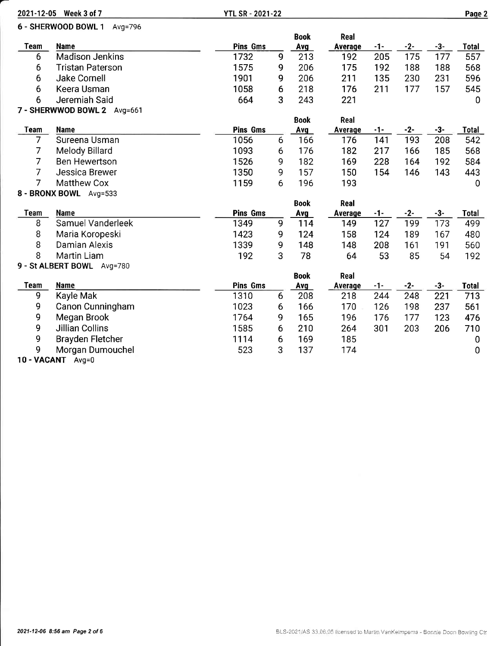|                | 2021-12-05 Week 3 of 7         | <b>YTL SR - 2021-22</b> |   |             |         |       |       |       | Page 2       |
|----------------|--------------------------------|-------------------------|---|-------------|---------|-------|-------|-------|--------------|
|                | 6 - SHERWOOD BOWL 1<br>Avg=796 |                         |   |             |         |       |       |       |              |
|                |                                |                         |   | <b>Book</b> | Real    |       |       |       |              |
| <b>Team</b>    | <b>Name</b>                    | <b>Pins Gms</b>         |   | Avg         | Average | $-1-$ | $-2-$ | $-3-$ | <b>Total</b> |
| 6              | <b>Madison Jenkins</b>         | 1732                    | 9 | 213         | 192     | 205   | 175   | 177   | 557          |
| 6              | <b>Tristan Paterson</b>        | 1575                    | 9 | 206         | 175     | 192   | 188   | 188   | 568          |
| 6              | <b>Jake Cornell</b>            | 1901                    | 9 | 206         | 211     | 135   | 230   | 231   | 596          |
| 6              | Keera Usman                    | 1058                    | 6 | 218         | 176     | 211   | 177   | 157   | 545          |
| 6              | Jeremiah Said                  | 664                     | 3 | 243         | 221     |       |       |       | 0            |
|                | 7 - SHERWWOD BOWL 2 Avg=661    |                         |   |             |         |       |       |       |              |
|                |                                |                         |   | <b>Book</b> | Real    |       |       |       |              |
| <b>Team</b>    | <b>Name</b>                    | <b>Pins Gms</b>         |   | Avg         | Average | -1-   | $-2-$ | $-3-$ | <b>Total</b> |
| $\overline{7}$ | Sureena Usman                  | 1056                    | 6 | 166         | 176     | 141   | 193   | 208   | 542          |
| 7              | Melody Billard                 | 1093                    | 6 | 176         | 182     | 217   | 166   | 185   | 568          |
| 7              | <b>Ben Hewertson</b>           | 1526                    | 9 | 182         | 169     | 228   | 164   | 192   | 584          |
| $\overline{7}$ | Jessica Brewer                 | 1350                    | 9 | 157         | 150     | 154   | 146   | 143   | 443          |
| 7              | <b>Matthew Cox</b>             | 1159                    | 6 | 196         | 193     |       |       |       | $\mathbf 0$  |
|                | 8 - BRONX BOWL Avg=533         |                         |   |             |         |       |       |       |              |
|                |                                |                         |   | <b>Book</b> | Real    |       |       |       |              |
| <b>Team</b>    | <b>Name</b>                    | <b>Pins Gms</b>         |   | Avg         | Average | -1-   | $-2-$ | $-3-$ | Total        |
| 8              | Samuel Vanderleek              | 1349                    | 9 | 114         | 149     | 127   | 199   | 173   | 499          |
| $\bf 8$        | Maria Koropeski                | 1423                    | 9 | 124         | 158     | 124   | 189   | 167   | 480          |
| 8              | <b>Damian Alexis</b>           | 1339                    | 9 | 148         | 148     | 208   | 161   | 191   | 560          |
| 8              | <b>Martin Liam</b>             | 192                     | 3 | 78          | 64      | 53    | 85    | 54    | 192          |
|                | 9 - St ALBERT BOWL Avg=780     |                         |   |             |         |       |       |       |              |
|                |                                |                         |   | <b>Book</b> | Real    |       |       |       |              |
| <b>Team</b>    | Name                           | <b>Pins Gms</b>         |   | <b>Avg</b>  | Average | -1-   | $-2-$ | $-3-$ | <b>Total</b> |
| 9              | Kayle Mak                      | 1310                    | 6 | 208         | 218     | 244   | 248   | 221   | 713          |
| 9              | Canon Cunningham               | 1023                    | 6 | 166         | 170     | 126   | 198   | 237   | 561          |
| 9              | Megan Brook                    | 1764                    | 9 | 165         | 196     | 176   | 177   | 123   | 476          |
| 9              | <b>Jillian Collins</b>         | 1585                    | 6 | 210         | 264     | 301   | 203   | 206   | 710          |
| 9              | <b>Brayden Fletcher</b>        | 1114                    | 6 | 169         | 185     |       |       |       | 0            |
| 9              | Morgan Dumouchel               | 523                     | 3 | 137         | 174     |       |       |       | 0            |

10 - VACANT Avg=0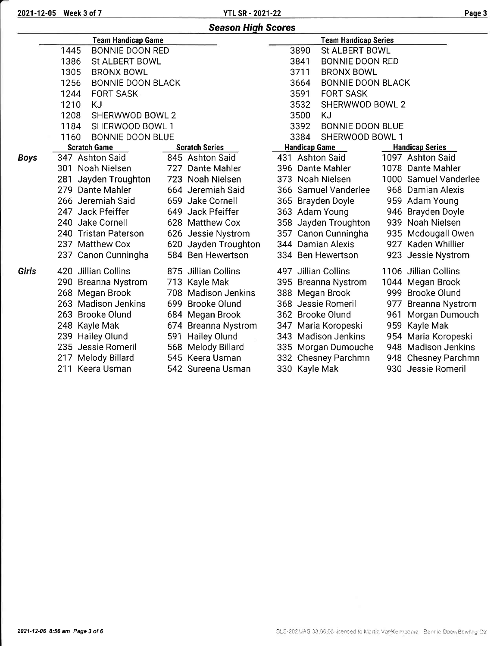| Season High Scores |  |  |
|--------------------|--|--|
|--------------------|--|--|

|             | <b>Team Handicap Game</b>        |                       |                      | <b>Team Handicap Series</b> |                        |
|-------------|----------------------------------|-----------------------|----------------------|-----------------------------|------------------------|
|             | 1445<br><b>BONNIE DOON RED</b>   |                       | 3890                 | St ALBERT BOWL              |                        |
|             | 1386<br>St ALBERT BOWL           |                       | 3841                 | <b>BONNIE DOON RED</b>      |                        |
|             | 1305<br><b>BRONX BOWL</b>        |                       | 3711                 | <b>BRONX BOWL</b>           |                        |
|             | 1256<br><b>BONNIE DOON BLACK</b> |                       | 3664                 | <b>BONNIE DOON BLACK</b>    |                        |
|             | <b>FORT SASK</b><br>1244         |                       | 3591                 | <b>FORT SASK</b>            |                        |
|             | 1210<br><b>KJ</b>                |                       | 3532                 | SHERWWOD BOWL 2             |                        |
|             | 1208<br>SHERWWOD BOWL 2          |                       | 3500                 | <b>KJ</b>                   |                        |
|             | SHERWOOD BOWL 1<br>1184          |                       | 3392                 | <b>BONNIE DOON BLUE</b>     |                        |
|             | <b>BONNIE DOON BLUE</b><br>1160  |                       | 3384                 | SHERWOOD BOWL 1             |                        |
|             | <b>Scratch Game</b>              | <b>Scratch Series</b> | <b>Handicap Game</b> |                             | <b>Handicap Series</b> |
| <b>Boys</b> | 347 Ashton Said                  | 845 Ashton Said       |                      | 431 Ashton Said             | 1097 Ashton Said       |
|             | 301 Noah Nielsen                 | 727 Dante Mahler      |                      | 396 Dante Mahler            | 1078 Dante Mahler      |
|             | 281 Jayden Troughton             | 723 Noah Nielsen      |                      | 373 Noah Nielsen            | 1000 Samuel Vanderlee  |
|             | 279 Dante Mahler                 | 664 Jeremiah Said     |                      | 366 Samuel Vanderlee        | 968 Damian Alexis      |
|             | 266 Jeremiah Said                | 659 Jake Cornell      |                      | 365 Brayden Doyle           | 959 Adam Young         |
|             | 247 Jack Pfeiffer                | 649 Jack Pfeiffer     |                      | 363 Adam Young              | 946 Brayden Doyle      |
|             | 240 Jake Cornell                 | 628 Matthew Cox       |                      | 358 Jayden Troughton        | 939 Noah Nielsen       |
|             | 240 Tristan Paterson             | 626 Jessie Nystrom    |                      | 357 Canon Cunningha         | 935 Mcdougall Owen     |
|             | 237 Matthew Cox                  | 620 Jayden Troughton  |                      | 344 Damian Alexis           | 927 Kaden Whillier     |
|             | 237 Canon Cunningha              | 584 Ben Hewertson     |                      | 334 Ben Hewertson           | 923 Jessie Nystrom     |
| Girls       | 420 Jillian Collins              | 875 Jillian Collins   |                      | 497 Jillian Collins         | 1106 Jillian Collins   |
|             | 290 Breanna Nystrom              | 713 Kayle Mak         |                      | 395 Breanna Nystrom         | 1044 Megan Brook       |
|             | 268 Megan Brook                  | 708 Madison Jenkins   |                      | 388 Megan Brook             | 999 Brooke Olund       |
|             | 263 Madison Jenkins              | 699 Brooke Olund      |                      | 368 Jessie Romeril          | 977 Breanna Nystrom    |
|             | 263 Brooke Olund                 | 684 Megan Brook       |                      | 362 Brooke Olund            | 961 Morgan Dumouch     |
|             | 248 Kayle Mak                    | 674 Breanna Nystrom   |                      | 347 Maria Koropeski         | 959 Kayle Mak          |
|             | 239 Hailey Olund                 | 591 Hailey Olund      |                      | 343 Madison Jenkins         | 954 Maria Koropeski    |
|             | 235 Jessie Romeril               | 568 Melody Billard    |                      | 335 Morgan Dumouche         | 948 Madison Jenkins    |
|             | 217 Melody Billard               | 545 Keera Usman       |                      | 332 Chesney Parchmn         | 948 Chesney Parchmn    |
|             | 211 Keera Usman                  | 542 Sureena Usman     | 330 Kayle Mak        |                             | 930 Jessie Romeril     |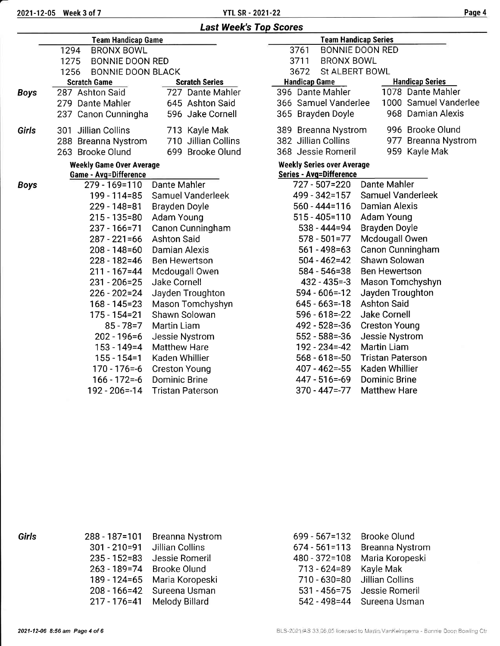2021-12-05 Week 3 of 7 Page 4 2021-22 Page 4 2021-22 Page 4 2021-22 Page 4 2021-22

|             | <b>Team Handicap Game</b>        |                         | <b>Team Handicap Series</b>       |                         |  |  |  |
|-------------|----------------------------------|-------------------------|-----------------------------------|-------------------------|--|--|--|
|             | 1294<br><b>BRONX BOWL</b>        |                         | 3761<br><b>BONNIE DOON RED</b>    |                         |  |  |  |
|             | 1275<br><b>BONNIE DOON RED</b>   |                         | 3711<br><b>BRONX BOWL</b>         |                         |  |  |  |
|             | 1256<br><b>BONNIE DOON BLACK</b> |                         | 3672<br><b>St ALBERT BOWL</b>     |                         |  |  |  |
|             | <b>Scratch Game</b>              | <b>Scratch Series</b>   | <b>Handicap Game</b>              | <b>Handicap Series</b>  |  |  |  |
| <b>Boys</b> | 287 Ashton Said                  | 727 Dante Mahler        | 396 Dante Mahler                  | 1078 Dante Mahler       |  |  |  |
|             | 279 Dante Mahler                 | 645 Ashton Said         | 366 Samuel Vanderlee              | 1000 Samuel Vanderlee   |  |  |  |
|             | 237 Canon Cunningha              | 596 Jake Cornell        | 365 Brayden Doyle                 | 968 Damian Alexis       |  |  |  |
| Girls       | Jillian Collins<br>301           | 713 Kayle Mak           | 389 Breanna Nystrom               | 996 Brooke Olund        |  |  |  |
|             | 288 Breanna Nystrom              | 710 Jillian Collins     | 382 Jillian Collins               | 977 Breanna Nystrom     |  |  |  |
|             | 263 Brooke Olund                 | 699 Brooke Olund        | 368 Jessie Romeril                | 959 Kayle Mak           |  |  |  |
|             | <b>Weekly Game Over Average</b>  |                         | <b>Weekly Series over Average</b> |                         |  |  |  |
|             | <b>Game - Avg=Difference</b>     |                         | <b>Series - Avg=Difference</b>    |                         |  |  |  |
| <b>Boys</b> | 279 - 169=110                    | Dante Mahler            | 727 - 507=220                     | <b>Dante Mahler</b>     |  |  |  |
|             | 199 - 114=85                     | Samuel Vanderleek       | 499 - 342=157                     | Samuel Vanderleek       |  |  |  |
|             | 229 - 148 = 81                   | Brayden Doyle           | $560 - 444 = 116$                 | Damian Alexis           |  |  |  |
|             | $215 - 135 = 80$                 | Adam Young              | $515 - 405 = 110$                 | Adam Young              |  |  |  |
|             | 237 - 166 = 71                   | Canon Cunningham        | $538 - 444 = 94$                  | <b>Brayden Doyle</b>    |  |  |  |
|             | $287 - 221 = 66$                 | <b>Ashton Said</b>      | $578 - 501 = 77$                  | Mcdougall Owen          |  |  |  |
|             | $208 - 148 = 60$                 | Damian Alexis           | $561 - 498 = 63$                  | Canon Cunningham        |  |  |  |
|             | $228 - 182 = 46$                 | <b>Ben Hewertson</b>    | $504 - 462 = 42$                  | Shawn Solowan           |  |  |  |
|             | $211 - 167 = 44$                 | Mcdougall Owen          | 584 - 546=38                      | <b>Ben Hewertson</b>    |  |  |  |
|             | $231 - 206 = 25$                 | Jake Cornell            | $432 - 435 = -3$                  | Mason Tomchyshyn        |  |  |  |
|             | $226 - 202 = 24$                 | Jayden Troughton        | $594 - 606 = -12$                 | Jayden Troughton        |  |  |  |
|             | 168 - 145=23                     | Mason Tomchyshyn        | $645 - 663 = -18$                 | <b>Ashton Said</b>      |  |  |  |
|             | 175 - 154=21                     | Shawn Solowan           | $596 - 618 = -22$                 | <b>Jake Cornell</b>     |  |  |  |
|             | $85 - 78 = 7$                    | Martin Liam             | 492 - 528 = - 36                  | <b>Creston Young</b>    |  |  |  |
|             | $202 - 196 = 6$                  | Jessie Nystrom          | $552 - 588 = -36$                 | Jessie Nystrom          |  |  |  |
|             | $153 - 149 = 4$                  | <b>Matthew Hare</b>     | $192 - 234 = -42$                 | <b>Martin Liam</b>      |  |  |  |
|             | $155 - 154 = 1$                  | Kaden Whillier          | $568 - 618 = -50$                 | <b>Tristan Paterson</b> |  |  |  |
|             | $170 - 176 = -6$                 | <b>Creston Young</b>    | $407 - 462 = -55$                 | Kaden Whillier          |  |  |  |
|             | $166 - 172 = -6$                 | Dominic Brine           | 447 - 516=-69                     | <b>Dominic Brine</b>    |  |  |  |
|             | 192 - 206 = - 14                 | <b>Tristan Paterson</b> | 370 - 447 = - 77                  | <b>Matthew Hare</b>     |  |  |  |

| 288 - 187=101    | <b>Breanna Nystrom</b> |
|------------------|------------------------|
| $301 - 210 = 91$ | <b>Jillian Collins</b> |
| $235 - 152 = 83$ | Jessie Romeril         |
| $263 - 189 = 74$ | <b>Brooke Olund</b>    |
| 189 - 124=65     | Maria Koropeski        |
| $208 - 166 = 42$ | Sureena Usman          |
| $217 - 176 = 41$ | Melody Billard         |

| 699 - 567=132     | <b>Brooke Olund</b>    |
|-------------------|------------------------|
| $674 - 561 = 113$ | <b>Breanna Nystrom</b> |
| 480 - 372=108     | Maria Koropeski        |
| $713 - 624 = 89$  | Kayle Mak              |
| 710 - 630 = 80    | <b>Jillian Collins</b> |
| $531 - 456 = 75$  | Jessie Romeril         |
| 542 - 498 = 44    | Sureena Usman          |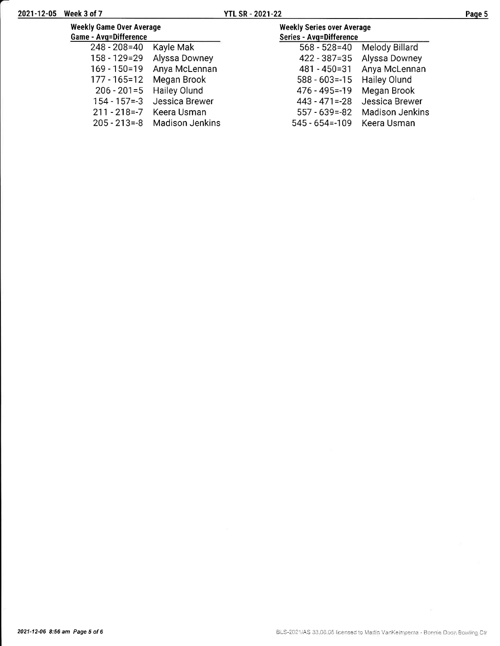205 - 213=-8

545 - 654=-1 09 Keera Usman

| 2021-12-05 Week 3 of 7                                   |                                | <b>YTL SR - 2021-22</b> |                                                              |                                  | Page 5 |
|----------------------------------------------------------|--------------------------------|-------------------------|--------------------------------------------------------------|----------------------------------|--------|
| <b>Weekly Game Over Average</b><br>Game - Avg=Difference |                                |                         | <b>Weekly Series over Average</b><br>Series - Avg=Difference |                                  |        |
| $248 - 208 = 40$                                         | Kayle Mak                      |                         | $568 - 528 = 40$                                             | Melody Billard                   |        |
|                                                          | 158 - 129=29 Alyssa Downey     |                         |                                                              | 422 - 387=35 Alyssa Downey       |        |
|                                                          | 169 - 150=19 Anya McLennan     |                         | 481 - 450=31                                                 | Anya McLennan                    |        |
|                                                          | 177 - 165=12 Megan Brook       |                         | 588 - 603 = - 15 Hailey Olund                                |                                  |        |
|                                                          | 206 - 201 = 5 Hailey Olund     |                         | 476 - 495 = - 19                                             | Megan Brook                      |        |
|                                                          | 154 - 157 = - 3 Jessica Brewer |                         |                                                              | 443 - 471 = - 28 Jessica Brewer  |        |
| 211 - 218 = - 7                                          | Keera Usman                    |                         |                                                              | 557 - 639 = - 82 Madison Jenkins |        |

Madison Jenkins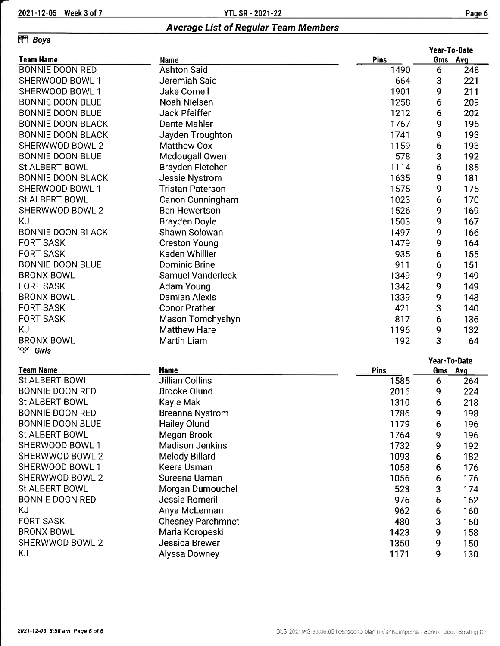## Effi eoys

|                          |                          |      |              | Year-To-Date |
|--------------------------|--------------------------|------|--------------|--------------|
| <b>Team Name</b>         | Name                     | Pins |              | Gms Avg      |
| <b>BONNIE DOON RED</b>   | <b>Ashton Said</b>       | 1490 | 6            | 248          |
| SHERWOOD BOWL 1          | Jeremiah Said            | 664  | 3            | 221          |
| SHERWOOD BOWL 1          | Jake Cornell             | 1901 | 9            | 211          |
| <b>BONNIE DOON BLUE</b>  | Noah Nielsen             | 1258 | 6            | 209          |
| <b>BONNIE DOON BLUE</b>  | Jack Pfeiffer            | 1212 | 6            | 202          |
| <b>BONNIE DOON BLACK</b> | Dante Mahler             | 1767 | 9            | 196          |
| <b>BONNIE DOON BLACK</b> | Jayden Troughton         | 1741 | 9            | 193          |
| SHERWWOD BOWL 2          | <b>Matthew Cox</b>       | 1159 | 6            | 193          |
| <b>BONNIE DOON BLUE</b>  | Mcdougall Owen           | 578  | 3            | 192          |
| <b>St ALBERT BOWL</b>    | Brayden Fletcher         | 1114 | 6            | 185          |
| <b>BONNIE DOON BLACK</b> | Jessie Nystrom           | 1635 | 9            | 181          |
| SHERWOOD BOWL 1          | <b>Tristan Paterson</b>  | 1575 | 9            | 175          |
| St ALBERT BOWL           | Canon Cunningham         | 1023 | 6            | 170          |
| SHERWWOD BOWL 2          | <b>Ben Hewertson</b>     | 1526 | 9            | 169          |
| KJ                       | <b>Brayden Doyle</b>     | 1503 | 9            | 167          |
| <b>BONNIE DOON BLACK</b> | Shawn Solowan            | 1497 | 9            | 166          |
| <b>FORT SASK</b>         | <b>Creston Young</b>     | 1479 | 9            | 164          |
| <b>FORT SASK</b>         | Kaden Whillier           | 935  | 6            | 155          |
| <b>BONNIE DOON BLUE</b>  | <b>Dominic Brine</b>     | 911  | 6            | 151          |
| <b>BRONX BOWL</b>        | <b>Samuel Vanderleek</b> | 1349 | 9            | 149          |
| <b>FORT SASK</b>         | Adam Young               | 1342 | 9            | 149          |
| <b>BRONX BOWL</b>        | <b>Damian Alexis</b>     | 1339 | 9            | 148          |
| <b>FORT SASK</b>         | <b>Conor Prather</b>     | 421  | 3            | 140          |
| <b>FORT SASK</b>         | Mason Tomchyshyn         | 817  | 6            | 136          |
| KJ                       | <b>Matthew Hare</b>      | 1196 | 9            | 132          |
| <b>BRONX BOWL</b>        | <b>Martin Liam</b>       | 192  | 3            | 64           |
| `∵` Girls                |                          |      |              |              |
|                          |                          |      | Year-To-Date |              |

### Team Name

| Team Name               | Name                     | <b>Pins</b> | <b>Gms</b> | Avg |
|-------------------------|--------------------------|-------------|------------|-----|
| St ALBERT BOWL          | Jillian Collins          | 1585        | 6          | 264 |
| <b>BONNIE DOON RED</b>  | <b>Brooke Olund</b>      | 2016        | 9          | 224 |
| St ALBERT BOWL          | Kayle Mak                | 1310        | 6          | 218 |
| <b>BONNIE DOON RED</b>  | <b>Breanna Nystrom</b>   | 1786        | 9          | 198 |
| <b>BONNIE DOON BLUE</b> | <b>Hailey Olund</b>      | 1179        | 6          | 196 |
| St ALBERT BOWL          | Megan Brook              | 1764        | 9          | 196 |
| SHERWOOD BOWL 1         | <b>Madison Jenkins</b>   | 1732        | 9          | 192 |
| SHERWWOD BOWL 2         | Melody Billard           | 1093        | 6          | 182 |
| SHERWOOD BOWL 1         | Keera Usman              | 1058        | 6          | 176 |
| SHERWWOD BOWL 2         | Sureena Usman            | 1056        | 6          | 176 |
| St ALBERT BOWL          | Morgan Dumouchel         | 523         | 3          | 174 |
| <b>BONNIE DOON RED</b>  | Jessie Romeril           | 976         | 6          | 162 |
| ΚJ                      | Anya McLennan            | 962         | 6          | 160 |
| <b>FORT SASK</b>        | <b>Chesney Parchmnet</b> | 480         | 3          | 160 |
| <b>BRONX BOWL</b>       | Maria Koropeski          | 1423        | 9          | 158 |
| SHERWWOD BOWL 2         | Jessica Brewer           | 1350        | 9          | 150 |
| ΚJ                      | Alyssa Downey            | 1171        | 9          | 130 |